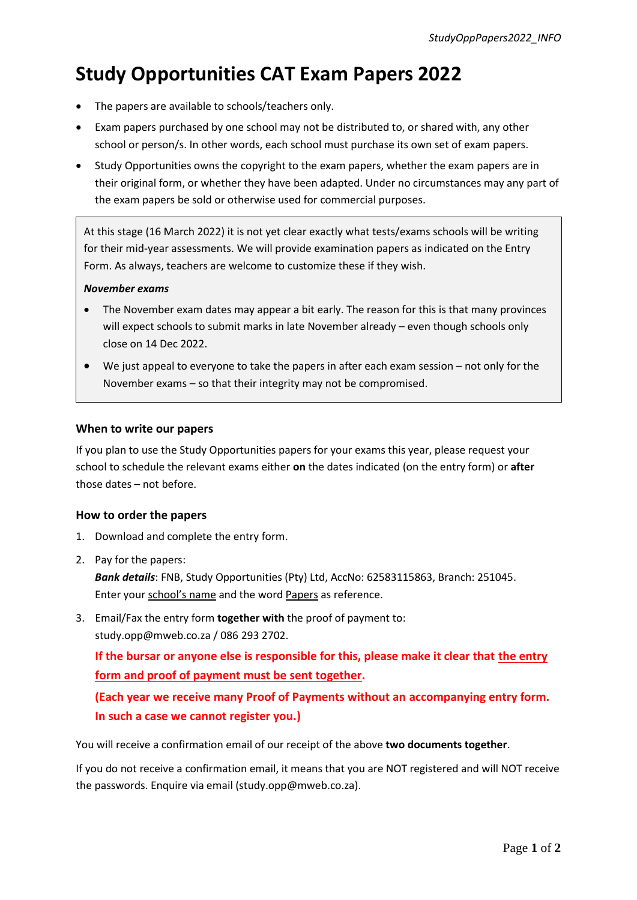# **Study Opportunities CAT Exam Papers 2022**

- The papers are available to schools/teachers only.
- Exam papers purchased by one school may not be distributed to, or shared with, any other school or person/s. In other words, each school must purchase its own set of exam papers.
- Study Opportunities owns the copyright to the exam papers, whether the exam papers are in their original form, or whether they have been adapted. Under no circumstances may any part of the exam papers be sold or otherwise used for commercial purposes.

At this stage (16 March 2022) it is not yet clear exactly what tests/exams schools will be writing for their mid-year assessments. We will provide examination papers as indicated on the Entry Form. As always, teachers are welcome to customize these if they wish.

### *November exams*

- The November exam dates may appear a bit early. The reason for this is that many provinces will expect schools to submit marks in late November already – even though schools only close on 14 Dec 2022.
- We just appeal to everyone to take the papers in after each exam session not only for the November exams – so that their integrity may not be compromised.

### **When to write our papers**

If you plan to use the Study Opportunities papers for your exams this year, please request your school to schedule the relevant exams either **on** the dates indicated (on the entry form) or **after** those dates – not before.

### **How to order the papers**

- 1. Download and complete the entry form.
- 2. Pay for the papers:

*Bank details*: FNB, Study Opportunities (Pty) Ltd, AccNo: 62583115863, Branch: 251045. Enter your school's name and the word Papers as reference.

3. Email/Fax the entry form **together with** the proof of payment to: study.opp@mweb.co.za / 086 293 2702.

**If the bursar or anyone else is responsible for this, please make it clear that the entry form and proof of payment must be sent together.** 

**(Each year we receive many Proof of Payments without an accompanying entry form. In such a case we cannot register you.)**

You will receive a confirmation email of our receipt of the above **two documents together**.

If you do not receive a confirmation email, it means that you are NOT registered and will NOT receive the passwords. Enquire via email (study.opp@mweb.co.za).